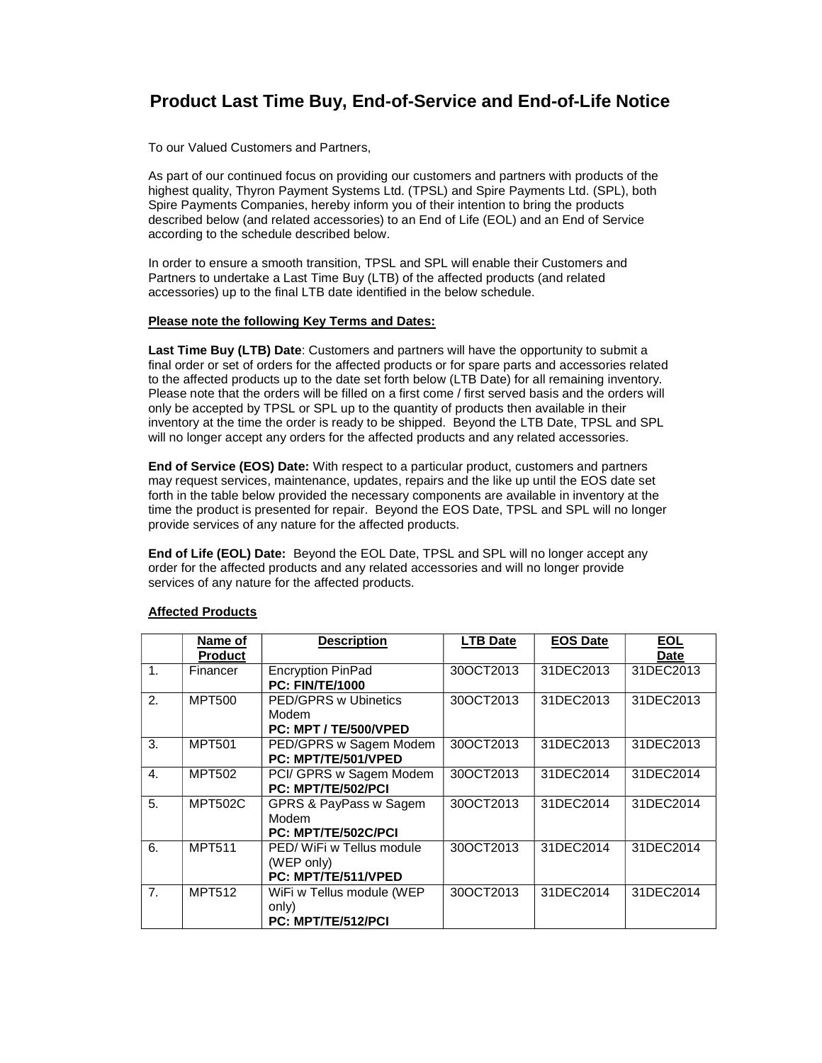## **Product Last Time Buy, End-of-Service and End-of-Life Notice**

To our Valued Customers and Partners,

As part of our continued focus on providing our customers and partners with products of the highest quality, Thyron Payment Systems Ltd. (TPSL) and Spire Payments Ltd. (SPL), both Spire Payments Companies, hereby inform you of their intention to bring the products described below (and related accessories) to an End of Life (EOL) and an End of Service according to the schedule described below.

In order to ensure a smooth transition, TPSL and SPL will enable their Customers and Partners to undertake a Last Time Buy (LTB) of the affected products (and related accessories) up to the final LTB date identified in the below schedule.

## **Please note the following Key Terms and Dates:**

**Last Time Buy (LTB) Date**: Customers and partners will have the opportunity to submit a final order or set of orders for the affected products or for spare parts and accessories related to the affected products up to the date set forth below (LTB Date) for all remaining inventory. Please note that the orders will be filled on a first come / first served basis and the orders will only be accepted by TPSL or SPL up to the quantity of products then available in their inventory at the time the order is ready to be shipped. Beyond the LTB Date, TPSL and SPL will no longer accept any orders for the affected products and any related accessories.

**End of Service (EOS) Date:** With respect to a particular product, customers and partners may request services, maintenance, updates, repairs and the like up until the EOS date set forth in the table below provided the necessary components are available in inventory at the time the product is presented for repair. Beyond the EOS Date, TPSL and SPL will no longer provide services of any nature for the affected products.

**End of Life (EOL) Date:** Beyond the EOL Date, TPSL and SPL will no longer accept any order for the affected products and any related accessories and will no longer provide services of any nature for the affected products.

|                | Name of<br><b>Product</b> | <b>Description</b>                                            | <b>LTB Date</b> | <b>EOS Date</b> | <b>EOL</b><br><b>Date</b> |
|----------------|---------------------------|---------------------------------------------------------------|-----------------|-----------------|---------------------------|
| $\mathbf{1}$ . | Financer                  | <b>Encryption PinPad</b><br><b>PC: FIN/TE/1000</b>            | 30OCT2013       | 31DEC2013       | 31DEC2013                 |
| 2.             | <b>MPT500</b>             | <b>PED/GPRS w Ubinetics</b><br>Modem<br>PC: MPT / TE/500/VPED | 30OCT2013       | 31DEC2013       | 31DEC2013                 |
| $\mathcal{R}$  | <b>MPT501</b>             | PED/GPRS w Sagem Modem<br>PC: MPT/TE/501/VPED                 | 30OCT2013       | 31DEC2013       | 31DEC2013                 |
| 4.             | <b>MPT502</b>             | PCI/ GPRS w Sagem Modem<br>PC: MPT/TE/502/PCI                 | 30OCT2013       | 31DEC2014       | 31DEC2014                 |
| 5 <sub>1</sub> | <b>MPT502C</b>            | GPRS & PayPass w Sagem<br>Modem<br>PC: MPT/TE/502C/PCI        | 30OCT2013       | 31DEC2014       | 31DEC2014                 |
| 6.             | <b>MPT511</b>             | PED/WiFi w Tellus module<br>(WEP only)<br>PC: MPT/TE/511/VPED | 30OCT2013       | 31DEC2014       | 31DEC2014                 |
| 7 <sub>1</sub> | <b>MPT512</b>             | WiFi w Tellus module (WEP<br>only)<br>PC: MPT/TE/512/PCI      | 30OCT2013       | 31DEC2014       | 31DEC2014                 |

## **Affected Products**